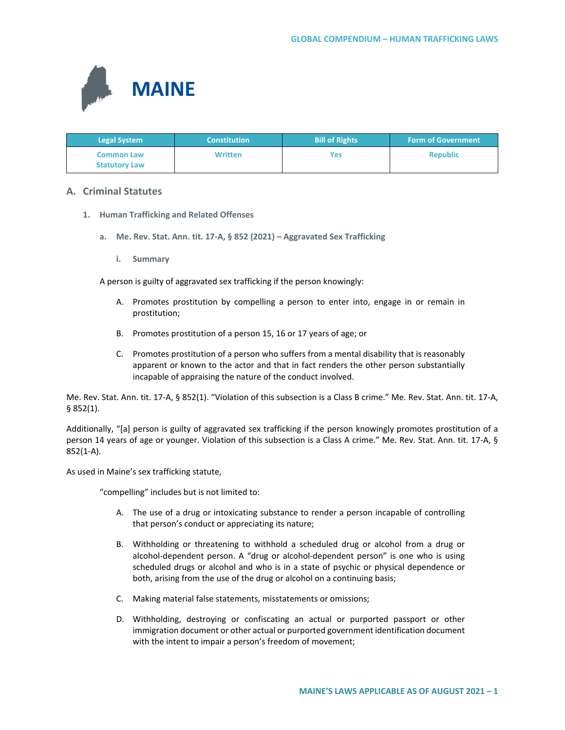

| <b>Legal System</b>                       | <b>Constitution</b> | <b>Bill of Rights</b> | <b>Form of Government</b> |
|-------------------------------------------|---------------------|-----------------------|---------------------------|
| <b>Common Law</b><br><b>Statutory Law</b> | <b>Written</b>      | Yes                   | <b>Republic</b>           |

## **A. Criminal Statutes**

- **1. Human Trafficking and Related Offenses**
	- **a. Me. Rev. Stat. Ann. tit. 17-A, § 852 (2021) – Aggravated Sex Trafficking**
		- **i. Summary**

A person is guilty of aggravated sex trafficking if the person knowingly:

- A. Promotes prostitution by compelling a person to enter into, engage in or remain in prostitution;
- B. Promotes prostitution of a person 15, 16 or 17 years of age; or
- C. Promotes prostitution of a person who suffers from a mental disability that is reasonably apparent or known to the actor and that in fact renders the other person substantially incapable of appraising the nature of the conduct involved.

Me. Rev. Stat. Ann. tit. 17-A, § 852(1). "Violation of this subsection is a Class B crime." Me. Rev. Stat. Ann. tit. 17-A, § 852(1).

Additionally, "[a] person is guilty of aggravated sex trafficking if the person knowingly promotes prostitution of a person 14 years of age or younger. Violation of this subsection is a Class A crime." Me. Rev. Stat. Ann. tit. 17-A, § 852(1-A).

As used in Maine's sex trafficking statute,

"compelling" includes but is not limited to:

- A. The use of a drug or intoxicating substance to render a person incapable of controlling that person's conduct or appreciating its nature;
- B. Withholding or threatening to withhold a scheduled drug or alcohol from a drug or alcohol-dependent person. A "drug or alcohol-dependent person" is one who is using scheduled drugs or alcohol and who is in a state of psychic or physical dependence or both, arising from the use of the drug or alcohol on a continuing basis;
- C. Making material false statements, misstatements or omissions;
- D. Withholding, destroying or confiscating an actual or purported passport or other immigration document or other actual or purported government identification document with the intent to impair a person's freedom of movement;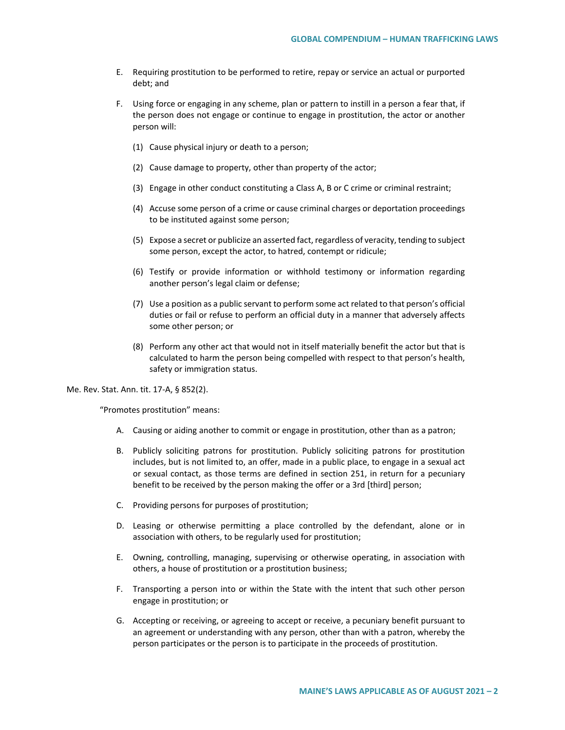- E. Requiring prostitution to be performed to retire, repay or service an actual or purported debt; and
- F. Using force or engaging in any scheme, plan or pattern to instill in a person a fear that, if the person does not engage or continue to engage in prostitution, the actor or another person will:
	- (1) Cause physical injury or death to a person;
	- (2) Cause damage to property, other than property of the actor;
	- (3) Engage in other conduct constituting a Class A, B or C crime or criminal restraint;
	- (4) Accuse some person of a crime or cause criminal charges or deportation proceedings to be instituted against some person;
	- (5) Expose a secret or publicize an asserted fact, regardless of veracity, tending to subject some person, except the actor, to hatred, contempt or ridicule;
	- (6) Testify or provide information or withhold testimony or information regarding another person's legal claim or defense;
	- (7) Use a position as a public servant to perform some act related to that person's official duties or fail or refuse to perform an official duty in a manner that adversely affects some other person; or
	- (8) Perform any other act that would not in itself materially benefit the actor but that is calculated to harm the person being compelled with respect to that person's health, safety or immigration status.

Me. Rev. Stat. Ann. tit. 17-A, § 852(2).

"Promotes prostitution" means:

- A. Causing or aiding another to commit or engage in prostitution, other than as a patron;
- B. Publicly soliciting patrons for prostitution. Publicly soliciting patrons for prostitution includes, but is not limited to, an offer, made in a public place, to engage in a sexual act or sexual contact, as those terms are defined in section 251, in return for a pecuniary benefit to be received by the person making the offer or a 3rd [third] person;
- C. Providing persons for purposes of prostitution;
- D. Leasing or otherwise permitting a place controlled by the defendant, alone or in association with others, to be regularly used for prostitution;
- E. Owning, controlling, managing, supervising or otherwise operating, in association with others, a house of prostitution or a prostitution business;
- F. Transporting a person into or within the State with the intent that such other person engage in prostitution; or
- G. Accepting or receiving, or agreeing to accept or receive, a pecuniary benefit pursuant to an agreement or understanding with any person, other than with a patron, whereby the person participates or the person is to participate in the proceeds of prostitution.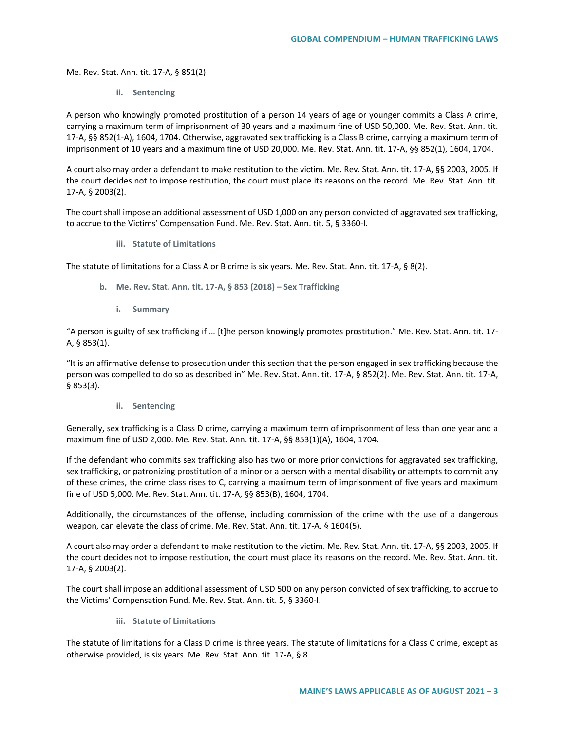Me. Rev. Stat. Ann. tit. 17-A, § 851(2).

**ii. Sentencing**

A person who knowingly promoted prostitution of a person 14 years of age or younger commits a Class A crime, carrying a maximum term of imprisonment of 30 years and a maximum fine of USD 50,000. Me. Rev. Stat. Ann. tit. 17-A, §§ 852(1-A), 1604, 1704. Otherwise, aggravated sex trafficking is a Class B crime, carrying a maximum term of imprisonment of 10 years and a maximum fine of USD 20,000. Me. Rev. Stat. Ann. tit. 17-A, §§ 852(1), 1604, 1704.

A court also may order a defendant to make restitution to the victim. Me. Rev. Stat. Ann. tit. 17-A, §§ 2003, 2005. If the court decides not to impose restitution, the court must place its reasons on the record. Me. Rev. Stat. Ann. tit. 17-A, § 2003(2).

The court shall impose an additional assessment of USD 1,000 on any person convicted of aggravated sex trafficking, to accrue to the Victims' Compensation Fund. Me. Rev. Stat. Ann. tit. 5, § 3360-I.

**iii. Statute of Limitations** 

The statute of limitations for a Class A or B crime is six years. Me. Rev. Stat. Ann. tit. 17-A, § 8(2).

- **b. Me. Rev. Stat. Ann. tit. 17-A, § 853 (2018) – Sex Trafficking**
	- **i. Summary**

"A person is guilty of sex trafficking if … [t]he person knowingly promotes prostitution." Me. Rev. Stat. Ann. tit. 17- A, § 853(1).

"It is an affirmative defense to prosecution under this section that the person engaged in sex trafficking because the person was compelled to do so as described in" Me. Rev. Stat. Ann. tit. 17-A, § 852(2). Me. Rev. Stat. Ann. tit. 17-A, § 853(3).

**ii. Sentencing** 

Generally, sex trafficking is a Class D crime, carrying a maximum term of imprisonment of less than one year and a maximum fine of USD 2,000. Me. Rev. Stat. Ann. tit. 17-A, §§ 853(1)(A), 1604, 1704.

If the defendant who commits sex trafficking also has two or more prior convictions for aggravated sex trafficking, sex trafficking, or patronizing prostitution of a minor or a person with a mental disability or attempts to commit any of these crimes, the crime class rises to C, carrying a maximum term of imprisonment of five years and maximum fine of USD 5,000. Me. Rev. Stat. Ann. tit. 17-A, §§ 853(B), 1604, 1704.

Additionally, the circumstances of the offense, including commission of the crime with the use of a dangerous weapon, can elevate the class of crime. Me. Rev. Stat. Ann. tit. 17-A, § 1604(5).

A court also may order a defendant to make restitution to the victim. Me. Rev. Stat. Ann. tit. 17-A, §§ 2003, 2005. If the court decides not to impose restitution, the court must place its reasons on the record. Me. Rev. Stat. Ann. tit. 17-A, § 2003(2).

The court shall impose an additional assessment of USD 500 on any person convicted of sex trafficking, to accrue to the Victims' Compensation Fund. Me. Rev. Stat. Ann. tit. 5, § 3360-I.

**iii. Statute of Limitations** 

The statute of limitations for a Class D crime is three years. The statute of limitations for a Class C crime, except as otherwise provided, is six years. Me. Rev. Stat. Ann. tit. 17-A, § 8.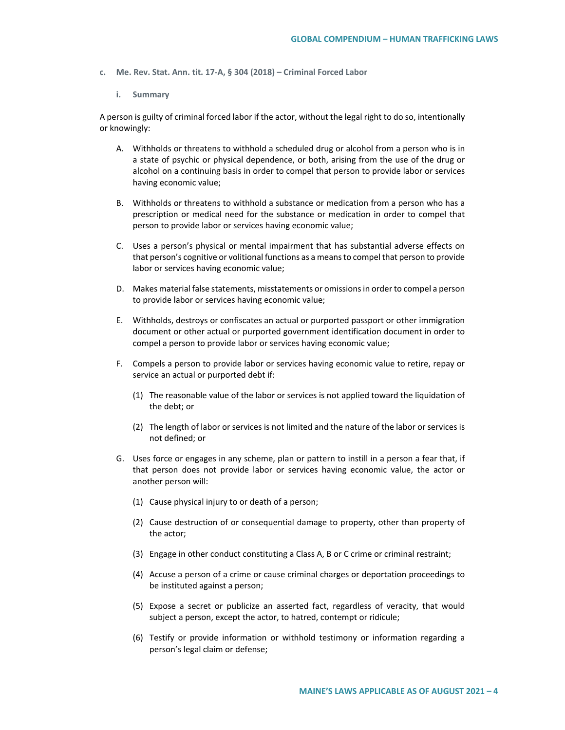- **c. Me. Rev. Stat. Ann. tit. 17-A, § 304 (2018) – Criminal Forced Labor** 
	- **i. Summary**

A person is guilty of criminal forced labor if the actor, without the legal right to do so, intentionally or knowingly:

- A. Withholds or threatens to withhold a scheduled drug or alcohol from a person who is in a state of psychic or physical dependence, or both, arising from the use of the drug or alcohol on a continuing basis in order to compel that person to provide labor or services having economic value;
- B. Withholds or threatens to withhold a substance or medication from a person who has a prescription or medical need for the substance or medication in order to compel that person to provide labor or services having economic value;
- C. Uses a person's physical or mental impairment that has substantial adverse effects on that person's cognitive or volitional functions as a means to compel that person to provide labor or services having economic value;
- D. Makes material false statements, misstatements or omissions in order to compel a person to provide labor or services having economic value;
- E. Withholds, destroys or confiscates an actual or purported passport or other immigration document or other actual or purported government identification document in order to compel a person to provide labor or services having economic value;
- F. Compels a person to provide labor or services having economic value to retire, repay or service an actual or purported debt if:
	- (1) The reasonable value of the labor or services is not applied toward the liquidation of the debt; or
	- (2) The length of labor or services is not limited and the nature of the labor or services is not defined; or
- G. Uses force or engages in any scheme, plan or pattern to instill in a person a fear that, if that person does not provide labor or services having economic value, the actor or another person will:
	- (1) Cause physical injury to or death of a person;
	- (2) Cause destruction of or consequential damage to property, other than property of the actor;
	- (3) Engage in other conduct constituting a Class A, B or C crime or criminal restraint;
	- (4) Accuse a person of a crime or cause criminal charges or deportation proceedings to be instituted against a person;
	- (5) Expose a secret or publicize an asserted fact, regardless of veracity, that would subject a person, except the actor, to hatred, contempt or ridicule;
	- (6) Testify or provide information or withhold testimony or information regarding a person's legal claim or defense;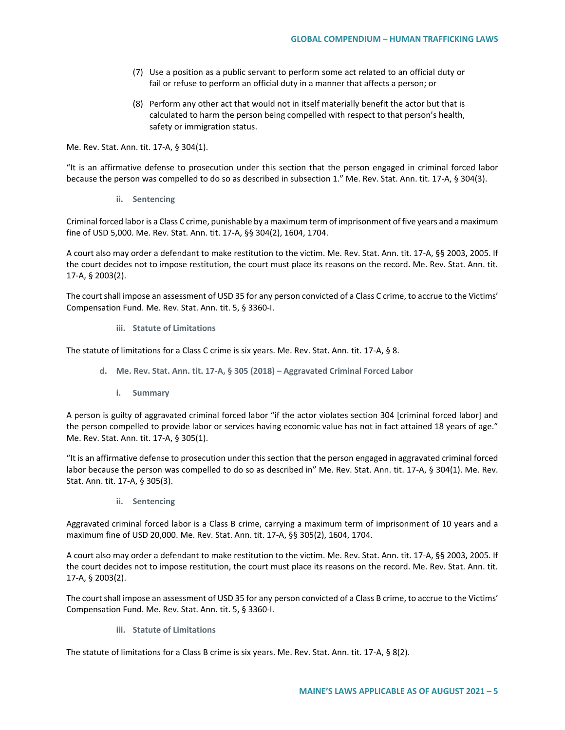- (7) Use a position as a public servant to perform some act related to an official duty or fail or refuse to perform an official duty in a manner that affects a person; or
- (8) Perform any other act that would not in itself materially benefit the actor but that is calculated to harm the person being compelled with respect to that person's health, safety or immigration status.

Me. Rev. Stat. Ann. tit. 17-A, § 304(1).

"It is an affirmative defense to prosecution under this section that the person engaged in criminal forced labor because the person was compelled to do so as described in subsection 1." Me. Rev. Stat. Ann. tit. 17-A, § 304(3).

**ii. Sentencing** 

Criminal forced labor is a Class C crime, punishable by a maximum term of imprisonment of five years and a maximum fine of USD 5,000. Me. Rev. Stat. Ann. tit. 17-A, §§ 304(2), 1604, 1704.

A court also may order a defendant to make restitution to the victim. Me. Rev. Stat. Ann. tit. 17-A, §§ 2003, 2005. If the court decides not to impose restitution, the court must place its reasons on the record. Me. Rev. Stat. Ann. tit. 17-A, § 2003(2).

The court shall impose an assessment of USD 35 for any person convicted of a Class C crime, to accrue to the Victims' Compensation Fund. Me. Rev. Stat. Ann. tit. 5, § 3360-I.

**iii. Statute of Limitations** 

The statute of limitations for a Class C crime is six years. Me. Rev. Stat. Ann. tit. 17-A, § 8.

- **d. Me. Rev. Stat. Ann. tit. 17-A, § 305 (2018) – Aggravated Criminal Forced Labor** 
	- **i. Summary**

A person is guilty of aggravated criminal forced labor "if the actor violates section 304 [criminal forced labor] and the person compelled to provide labor or services having economic value has not in fact attained 18 years of age." Me. Rev. Stat. Ann. tit. 17-A, § 305(1).

"It is an affirmative defense to prosecution under this section that the person engaged in aggravated criminal forced labor because the person was compelled to do so as described in" Me. Rev. Stat. Ann. tit. 17-A, § 304(1). Me. Rev. Stat. Ann. tit. 17-A, § 305(3).

**ii. Sentencing**

Aggravated criminal forced labor is a Class B crime, carrying a maximum term of imprisonment of 10 years and a maximum fine of USD 20,000. Me. Rev. Stat. Ann. tit. 17-A, §§ 305(2), 1604, 1704.

A court also may order a defendant to make restitution to the victim. Me. Rev. Stat. Ann. tit. 17-A, §§ 2003, 2005. If the court decides not to impose restitution, the court must place its reasons on the record. Me. Rev. Stat. Ann. tit. 17-A, § 2003(2).

The court shall impose an assessment of USD 35 for any person convicted of a Class B crime, to accrue to the Victims' Compensation Fund. Me. Rev. Stat. Ann. tit. 5, § 3360-I.

**iii. Statute of Limitations** 

The statute of limitations for a Class B crime is six years. Me. Rev. Stat. Ann. tit. 17-A, § 8(2).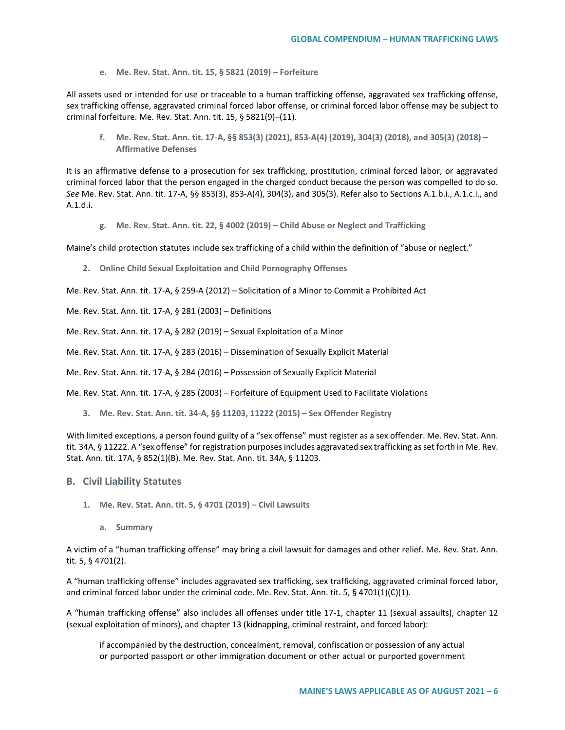**e. Me. Rev. Stat. Ann. tit. 15, § 5821 (2019) – Forfeiture**

All assets used or intended for use or traceable to a human trafficking offense, aggravated sex trafficking offense, sex trafficking offense, aggravated criminal forced labor offense, or criminal forced labor offense may be subject to criminal forfeiture. Me. Rev. Stat. Ann. tit. 15, § 5821(9)–(11).

**f. Me. Rev. Stat. Ann. tit. 17-A, §§ 853(3) (2021), 853-A(4) (2019), 304(3) (2018), and 305(3) (2018) – Affirmative Defenses**

It is an affirmative defense to a prosecution for sex trafficking, prostitution, criminal forced labor, or aggravated criminal forced labor that the person engaged in the charged conduct because the person was compelled to do so. *See* Me. Rev. Stat. Ann. tit. 17-A, §§ 853(3), 853-A(4), 304(3), and 305(3). Refer also to Sections A.1.b.i., A.1.c.i., and A.1.d.i.

**g. Me. Rev. Stat. Ann. tit. 22, § 4002 (2019) – Child Abuse or Neglect and Trafficking**

Maine's child protection statutes include sex trafficking of a child within the definition of "abuse or neglect."

**2. Online Child Sexual Exploitation and Child Pornography Offenses**

Me. Rev. Stat. Ann. tit. 17-A, § 259-A (2012) – Solicitation of a Minor to Commit a Prohibited Act

Me. Rev. Stat. Ann. tit. 17-A, § 281 (2003) – Definitions

Me. Rev. Stat. Ann. tit. 17-A, § 282 (2019) – Sexual Exploitation of a Minor

Me. Rev. Stat. Ann. tit. 17-A, § 283 (2016) – Dissemination of Sexually Explicit Material

Me. Rev. Stat. Ann. tit. 17-A, § 284 (2016) – Possession of Sexually Explicit Material

Me. Rev. Stat. Ann. tit. 17-A, § 285 (2003) – Forfeiture of Equipment Used to Facilitate Violations

**3. Me. Rev. Stat. Ann. tit. 34-A, §§ 11203, 11222 (2015) – Sex Offender Registry** 

With limited exceptions, a person found guilty of a "sex offense" must register as a sex offender. Me. Rev. Stat. Ann. tit. 34A, § 11222. A "sex offense" for registration purposes includes aggravated sex trafficking as set forth in Me. Rev. Stat. Ann. tit. 17A, § 852(1)(B). Me. Rev. Stat. Ann. tit. 34A, § 11203.

## **B. Civil Liability Statutes**

- **1. Me. Rev. Stat. Ann. tit. 5, § 4701 (2019) – Civil Lawsuits** 
	- **a. Summary**

A victim of a "human trafficking offense" may bring a civil lawsuit for damages and other relief. Me. Rev. Stat. Ann. tit. 5, § 4701(2).

A "human trafficking offense" includes aggravated sex trafficking, sex trafficking, aggravated criminal forced labor, and criminal forced labor under the criminal code. Me. Rev. Stat. Ann. tit. 5, § 4701(1)(C)(1).

A "human trafficking offense" also includes all offenses under title 17-1, chapter 11 (sexual assaults), chapter 12 (sexual exploitation of minors), and chapter 13 (kidnapping, criminal restraint, and forced labor):

if accompanied by the destruction, concealment, removal, confiscation or possession of any actual or purported passport or other immigration document or other actual or purported government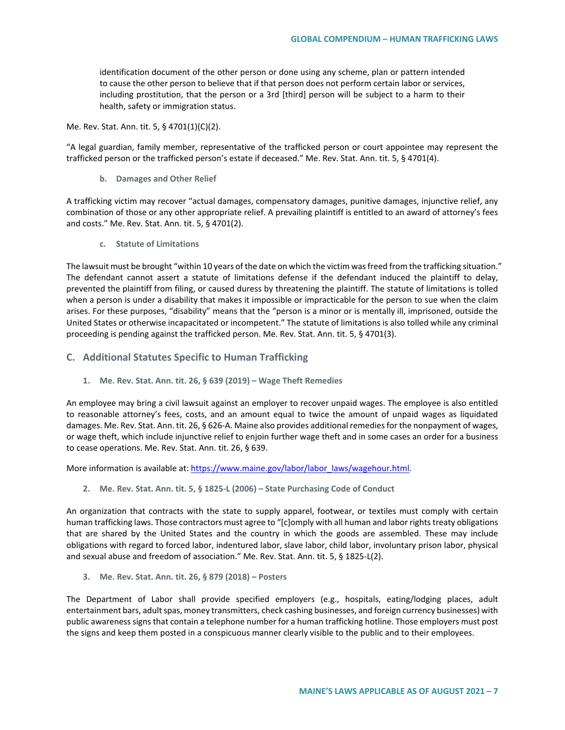identification document of the other person or done using any scheme, plan or pattern intended to cause the other person to believe that if that person does not perform certain labor or services, including prostitution, that the person or a 3rd [third] person will be subject to a harm to their health, safety or immigration status.

Me. Rev. Stat. Ann. tit. 5, § 4701(1)(C)(2).

"A legal guardian, family member, representative of the trafficked person or court appointee may represent the trafficked person or the trafficked person's estate if deceased." Me. Rev. Stat. Ann. tit. 5, § 4701(4).

**b. Damages and Other Relief** 

A trafficking victim may recover "actual damages, compensatory damages, punitive damages, injunctive relief, any combination of those or any other appropriate relief. A prevailing plaintiff is entitled to an award of attorney's fees and costs." Me. Rev. Stat. Ann. tit. 5, § 4701(2).

**c. Statute of Limitations**

The lawsuit must be brought "within 10 years of the date on which the victim was freed from the trafficking situation." The defendant cannot assert a statute of limitations defense if the defendant induced the plaintiff to delay, prevented the plaintiff from filing, or caused duress by threatening the plaintiff. The statute of limitations is tolled when a person is under a disability that makes it impossible or impracticable for the person to sue when the claim arises. For these purposes, "disability" means that the "person is a minor or is mentally ill, imprisoned, outside the United States or otherwise incapacitated or incompetent." The statute of limitations is also tolled while any criminal proceeding is pending against the trafficked person. Me. Rev. Stat. Ann. tit. 5, § 4701(3).

- **C. Additional Statutes Specific to Human Trafficking** 
	- **1. Me. Rev. Stat. Ann. tit. 26, § 639 (2019) – Wage Theft Remedies**

An employee may bring a civil lawsuit against an employer to recover unpaid wages. The employee is also entitled to reasonable attorney's fees, costs, and an amount equal to twice the amount of unpaid wages as liquidated damages. Me. Rev. Stat. Ann. tit. 26, § 626-A. Maine also provides additional remedies for the nonpayment of wages, or wage theft, which include injunctive relief to enjoin further wage theft and in some cases an order for a business to cease operations. Me. Rev. Stat. Ann. tit. 26, § 639.

More information is available at: [https://www.maine.gov/labor/labor\\_laws/wagehour.html.](https://www.maine.gov/labor/labor_laws/wagehour.html)

**2. Me. Rev. Stat. Ann. tit. 5, § 1825-L (2006) – State Purchasing Code of Conduct**

An organization that contracts with the state to supply apparel, footwear, or textiles must comply with certain human trafficking laws. Those contractors must agree to "[c]omply with all human and labor rights treaty obligations that are shared by the United States and the country in which the goods are assembled. These may include obligations with regard to forced labor, indentured labor, slave labor, child labor, involuntary prison labor, physical and sexual abuse and freedom of association." Me. Rev. Stat. Ann. tit. 5, § 1825-L(2).

**3. Me. Rev. Stat. Ann. tit. 26, § 879 (2018) – Posters** 

The Department of Labor shall provide specified employers (e.g., hospitals, eating/lodging places, adult entertainment bars, adult spas, money transmitters, check cashing businesses, and foreign currency businesses) with public awareness signs that contain a telephone number for a human trafficking hotline. Those employers must post the signs and keep them posted in a conspicuous manner clearly visible to the public and to their employees.